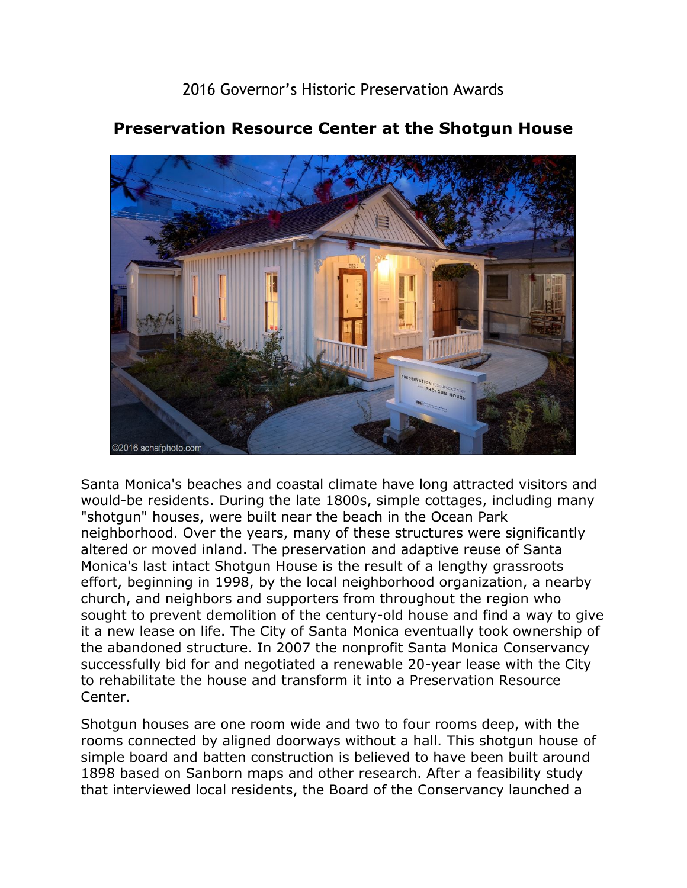2016 Governor's Historic Preservation Awards



## **Preservation Resource Center at the Shotgun House**

Santa Monica's beaches and coastal climate have long attracted visitors and would-be residents. During the late 1800s, simple cottages, including many "shotgun" houses, were built near the beach in the Ocean Park neighborhood. Over the years, many of these structures were significantly altered or moved inland. The preservation and adaptive reuse of Santa Monica's last intact Shotgun House is the result of a lengthy grassroots effort, beginning in 1998, by the local neighborhood organization, a nearby church, and neighbors and supporters from throughout the region who sought to prevent demolition of the century-old house and find a way to give it a new lease on life. The City of Santa Monica eventually took ownership of the abandoned structure. In 2007 the nonprofit Santa Monica Conservancy successfully bid for and negotiated a renewable 20-year lease with the City to rehabilitate the house and transform it into a Preservation Resource Center.

Shotgun houses are one room wide and two to four rooms deep, with the rooms connected by aligned doorways without a hall. This shotgun house of simple board and batten construction is believed to have been built around 1898 based on Sanborn maps and other research. After a feasibility study that interviewed local residents, the Board of the Conservancy launched a